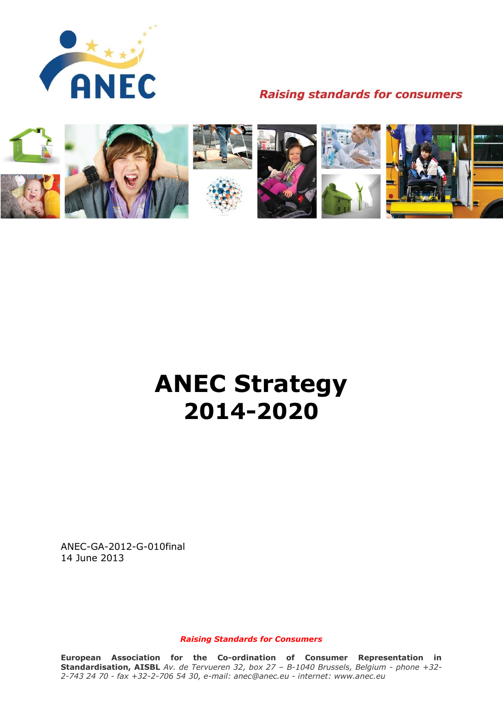

# **Raising standards for consumers**



# **ANEC Strategy 2014-2020**

ANEC-GA-2012-G-010final 14 June 2013

*Raising Standards for Consumers*

**European Association for the Co-ordination of Consumer Representation in Standardisation, AISBL** *Av. de Tervueren 32, box 27 – B-1040 Brussels, Belgium - phone +32- 2-743 24 70 - fax +32-2-706 54 30, e-mail: anec@anec.eu - internet: www.anec.eu*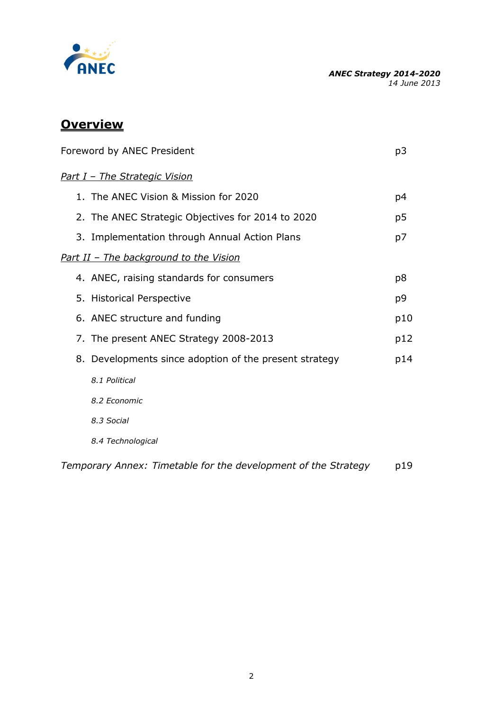

# **Overview**

| Foreword by ANEC President                                     |                |
|----------------------------------------------------------------|----------------|
| Part I - The Strategic Vision                                  |                |
| 1. The ANEC Vision & Mission for 2020                          | p4             |
| 2. The ANEC Strategic Objectives for 2014 to 2020              | p <sub>5</sub> |
| 3. Implementation through Annual Action Plans                  | p7             |
| Part II - The background to the Vision                         |                |
| 4. ANEC, raising standards for consumers                       | p8             |
| 5. Historical Perspective                                      | p9             |
| 6. ANEC structure and funding                                  | p10            |
| 7. The present ANEC Strategy 2008-2013                         | p12            |
| 8. Developments since adoption of the present strategy         | p14            |
| 8.1 Political                                                  |                |
| 8.2 Economic                                                   |                |
| 8.3 Social                                                     |                |
| 8.4 Technological                                              |                |
| Temporary Annex: Timetable for the development of the Strategy | p19            |

2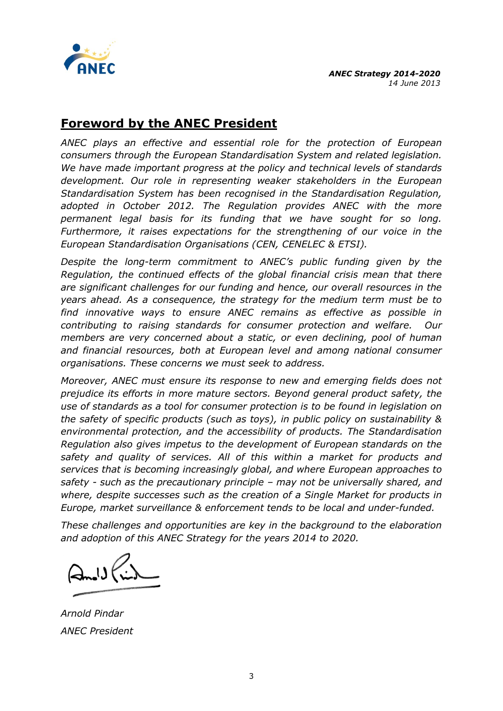

# **Foreword by the ANEC President**

*ANEC plays an effective and essential role for the protection of European consumers through the European Standardisation System and related legislation. We have made important progress at the policy and technical levels of standards development. Our role in representing weaker stakeholders in the European Standardisation System has been recognised in the Standardisation Regulation, adopted in October 2012. The Regulation provides ANEC with the more permanent legal basis for its funding that we have sought for so long. Furthermore, it raises expectations for the strengthening of our voice in the European Standardisation Organisations (CEN, CENELEC & ETSI).*

*Despite the long-term commitment to ANEC's public funding given by the Regulation, the continued effects of the global financial crisis mean that there are significant challenges for our funding and hence, our overall resources in the years ahead. As a consequence, the strategy for the medium term must be to find innovative ways to ensure ANEC remains as effective as possible in contributing to raising standards for consumer protection and welfare. Our members are very concerned about a static, or even declining, pool of human and financial resources, both at European level and among national consumer organisations. These concerns we must seek to address.*

*Moreover, ANEC must ensure its response to new and emerging fields does not prejudice its efforts in more mature sectors. Beyond general product safety, the use of standards as a tool for consumer protection is to be found in legislation on the safety of specific products (such as toys), in public policy on sustainability & environmental protection, and the accessibility of products. The Standardisation Regulation also gives impetus to the development of European standards on the safety and quality of services. All of this within a market for products and services that is becoming increasingly global, and where European approaches to safety - such as the precautionary principle – may not be universally shared, and where, despite successes such as the creation of a Single Market for products in Europe, market surveillance & enforcement tends to be local and under-funded.*

*These challenges and opportunities are key in the background to the elaboration and adoption of this ANEC Strategy for the years 2014 to 2020.* 

*Arnold Pindar ANEC President*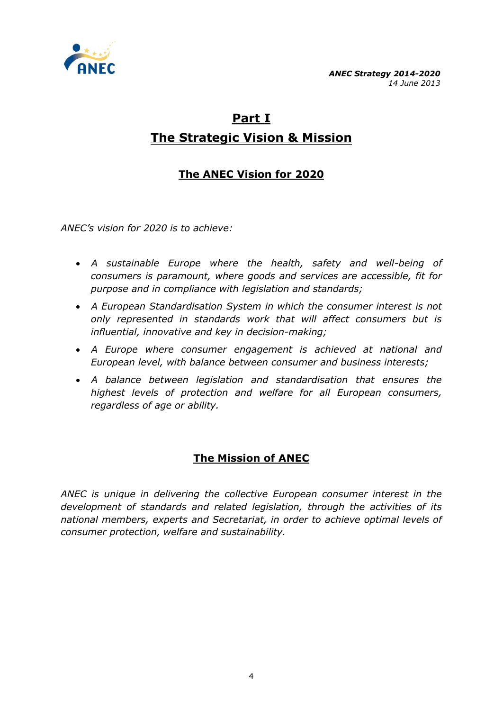

# **Part I The Strategic Vision & Mission**

# **The ANEC Vision for 2020**

*ANEC's vision for 2020 is to achieve:*

- *A sustainable Europe where the health, safety and well-being of consumers is paramount, where goods and services are accessible, fit for purpose and in compliance with legislation and standards;*
- *A European Standardisation System in which the consumer interest is not only represented in standards work that will affect consumers but is influential, innovative and key in decision-making;*
- *A Europe where consumer engagement is achieved at national and European level, with balance between consumer and business interests;*
- *A balance between legislation and standardisation that ensures the highest levels of protection and welfare for all European consumers, regardless of age or ability.*

# **The Mission of ANEC**

*ANEC is unique in delivering the collective European consumer interest in the development of standards and related legislation, through the activities of its national members, experts and Secretariat, in order to achieve optimal levels of consumer protection, welfare and sustainability.*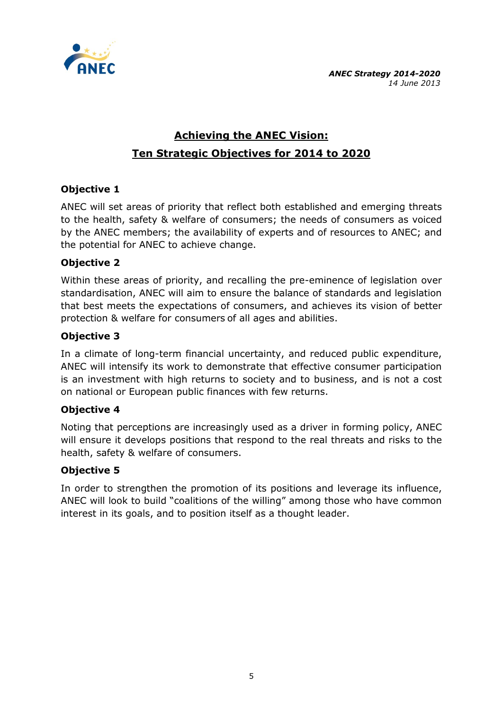

# **Achieving the ANEC Vision: Ten Strategic Objectives for 2014 to 2020**

#### **Objective 1**

ANEC will set areas of priority that reflect both established and emerging threats to the health, safety & welfare of consumers; the needs of consumers as voiced by the ANEC members; the availability of experts and of resources to ANEC; and the potential for ANEC to achieve change.

#### **Objective 2**

Within these areas of priority, and recalling the pre-eminence of legislation over standardisation, ANEC will aim to ensure the balance of standards and legislation that best meets the expectations of consumers, and achieves its vision of better protection & welfare for consumers of all ages and abilities.

#### **Objective 3**

In a climate of long-term financial uncertainty, and reduced public expenditure, ANEC will intensify its work to demonstrate that effective consumer participation is an investment with high returns to society and to business, and is not a cost on national or European public finances with few returns.

#### **Objective 4**

Noting that perceptions are increasingly used as a driver in forming policy, ANEC will ensure it develops positions that respond to the real threats and risks to the health, safety & welfare of consumers.

#### **Objective 5**

In order to strengthen the promotion of its positions and leverage its influence, ANEC will look to build "coalitions of the willing" among those who have common interest in its goals, and to position itself as a thought leader.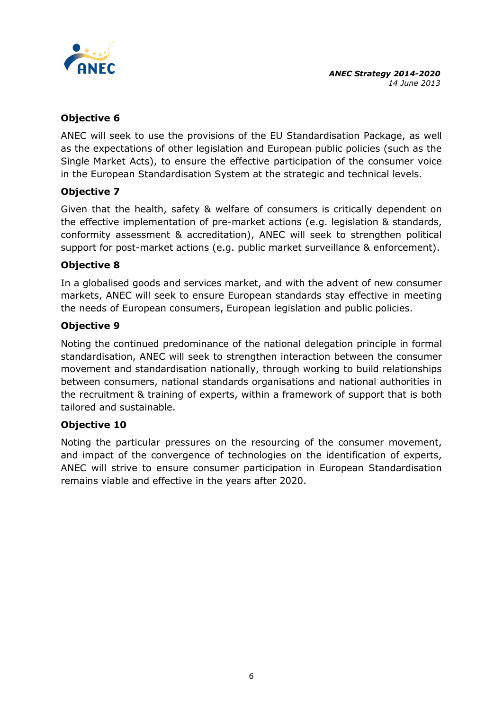

## **Objective 6**

ANEC will seek to use the provisions of the EU Standardisation Package, as well as the expectations of other legislation and European public policies (such as the Single Market Acts), to ensure the effective participation of the consumer voice in the European Standardisation System at the strategic and technical levels.

## **Objective 7**

Given that the health, safety & welfare of consumers is critically dependent on the effective implementation of pre-market actions (e.g. legislation & standards, conformity assessment & accreditation), ANEC will seek to strengthen political support for post-market actions (e.g. public market surveillance & enforcement).

#### **Objective 8**

In a globalised goods and services market, and with the advent of new consumer markets, ANEC will seek to ensure European standards stay effective in meeting the needs of European consumers, European legislation and public policies.

#### **Objective 9**

Noting the continued predominance of the national delegation principle in formal standardisation, ANEC will seek to strengthen interaction between the consumer movement and standardisation nationally, through working to build relationships between consumers, national standards organisations and national authorities in the recruitment & training of experts, within a framework of support that is both tailored and sustainable.

#### **Objective 10**

Noting the particular pressures on the resourcing of the consumer movement, and impact of the convergence of technologies on the identification of experts, ANEC will strive to ensure consumer participation in European Standardisation remains viable and effective in the years after 2020.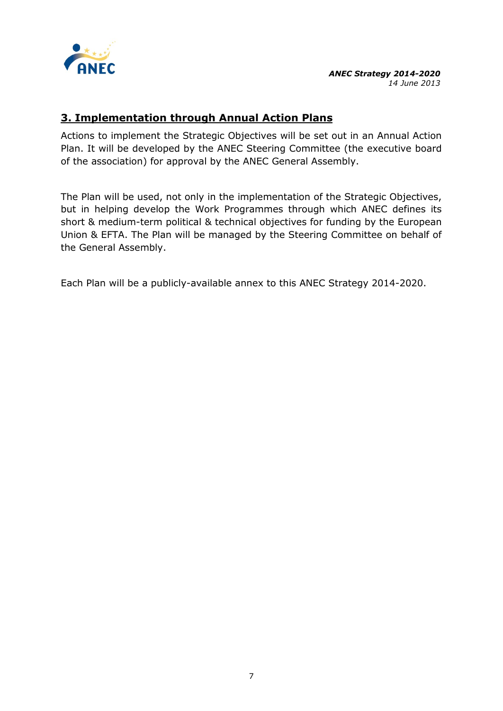

# **3. Implementation through Annual Action Plans**

Actions to implement the Strategic Objectives will be set out in an Annual Action Plan. It will be developed by the ANEC Steering Committee (the executive board of the association) for approval by the ANEC General Assembly.

The Plan will be used, not only in the implementation of the Strategic Objectives, but in helping develop the Work Programmes through which ANEC defines its short & medium-term political & technical objectives for funding by the European Union & EFTA. The Plan will be managed by the Steering Committee on behalf of the General Assembly.

Each Plan will be a publicly-available annex to this ANEC Strategy 2014-2020.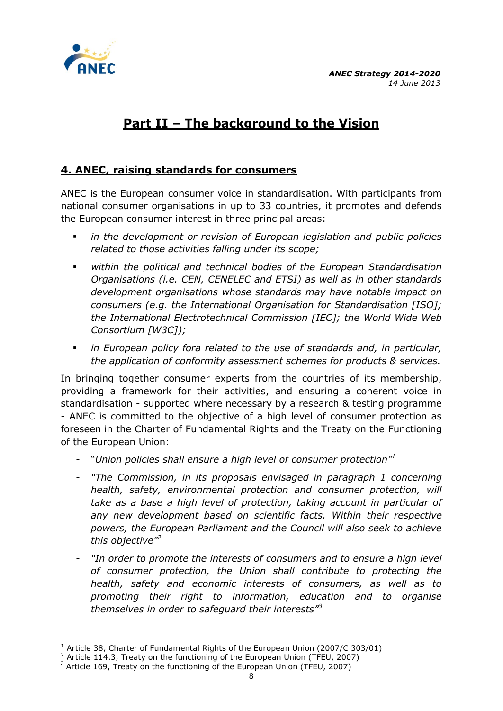

-

# **Part II – The background to the Vision**

# **4. ANEC, raising standards for consumers**

ANEC is the European consumer voice in standardisation. With participants from national consumer organisations in up to 33 countries, it promotes and defends the European consumer interest in three principal areas:

- *in the development or revision of European legislation and public policies related to those activities falling under its scope;*
- *within the political and technical bodies of the European Standardisation Organisations (i.e. CEN, CENELEC and ETSI) as well as in other standards development organisations whose standards may have notable impact on consumers (e.g. the International Organisation for Standardisation [ISO]; the International Electrotechnical Commission [IEC]; the World Wide Web Consortium [W3C]);*
- *in European policy fora related to the use of standards and, in particular, the application of conformity assessment schemes for products & services.*

In bringing together consumer experts from the countries of its membership, providing a framework for their activities, and ensuring a coherent voice in standardisation - supported where necessary by a research & testing programme - ANEC is committed to the objective of a high level of consumer protection as foreseen in the Charter of Fundamental Rights and the Treaty on the Functioning of the European Union:

- "*Union policies shall ensure a high level of consumer protection"<sup>1</sup>*
- *"The Commission, in its proposals envisaged in paragraph 1 concerning health, safety, environmental protection and consumer protection, will take as a base a high level of protection, taking account in particular of any new development based on scientific facts. Within their respective powers, the European Parliament and the Council will also seek to achieve this objective"<sup>2</sup>*
- "In order to promote the interests of consumers and to ensure a high level *of consumer protection, the Union shall contribute to protecting the health, safety and economic interests of consumers, as well as to promoting their right to information, education and to organise themselves in order to safeguard their interests"<sup>3</sup>*

 $1$  Article 38, Charter of Fundamental Rights of the European Union (2007/C 303/01)

<sup>&</sup>lt;sup>2</sup> Article 114.3, Treaty on the functioning of the European Union (TFEU, 2007)

 $3$  Article 169, Treaty on the functioning of the European Union (TFEU, 2007)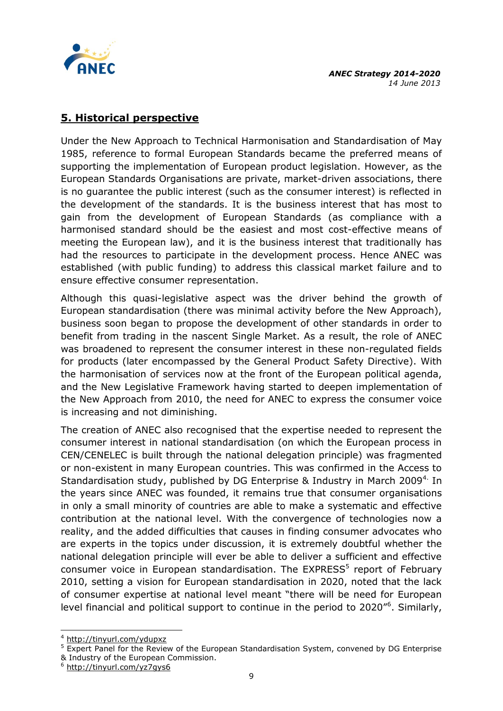

# **5. Historical perspective**

Under the New Approach to Technical Harmonisation and Standardisation of May 1985, reference to formal European Standards became the preferred means of supporting the implementation of European product legislation. However, as the European Standards Organisations are private, market-driven associations, there is no guarantee the public interest (such as the consumer interest) is reflected in the development of the standards. It is the business interest that has most to gain from the development of European Standards (as compliance with a harmonised standard should be the easiest and most cost-effective means of meeting the European law), and it is the business interest that traditionally has had the resources to participate in the development process. Hence ANEC was established (with public funding) to address this classical market failure and to ensure effective consumer representation.

Although this quasi-legislative aspect was the driver behind the growth of European standardisation (there was minimal activity before the New Approach), business soon began to propose the development of other standards in order to benefit from trading in the nascent Single Market. As a result, the role of ANEC was broadened to represent the consumer interest in these non-regulated fields for products (later encompassed by the General Product Safety Directive). With the harmonisation of services now at the front of the European political agenda, and the New Legislative Framework having started to deepen implementation of the New Approach from 2010, the need for ANEC to express the consumer voice is increasing and not diminishing.

The creation of ANEC also recognised that the expertise needed to represent the consumer interest in national standardisation (on which the European process in CEN/CENELEC is built through the national delegation principle) was fragmented or non-existent in many European countries. This was confirmed in the Access to Standardisation study, published by DG Enterprise & Industry in March 2009<sup>4.</sup> In the years since ANEC was founded, it remains true that consumer organisations in only a small minority of countries are able to make a systematic and effective contribution at the national level. With the convergence of technologies now a reality, and the added difficulties that causes in finding consumer advocates who are experts in the topics under discussion, it is extremely doubtful whether the national delegation principle will ever be able to deliver a sufficient and effective consumer voice in European standardisation. The EXPRESS<sup>5</sup> report of February 2010, setting a vision for European standardisation in 2020, noted that the lack of consumer expertise at national level meant "there will be need for European level financial and political support to continue in the period to 2020"<sup>6</sup>. Similarly,

<sup>-</sup><sup>4</sup> <http://tinyurl.com/ydupxz>

<sup>&</sup>lt;sup>5</sup> Expert Panel for the Review of the European Standardisation System, convened by DG Enterprise & Industry of the European Commission.

<sup>6</sup> <http://tinyurl.com/yz7gys6>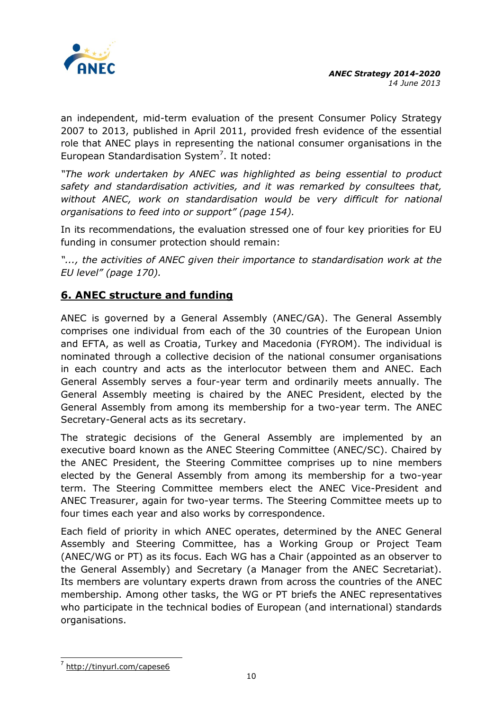

an independent, mid-term evaluation of the present Consumer Policy Strategy 2007 to 2013, published in April 2011, provided fresh evidence of the essential role that ANEC plays in representing the national consumer organisations in the European Standardisation System<sup>7</sup>. It noted:

*"The work undertaken by ANEC was highlighted as being essential to product safety and standardisation activities, and it was remarked by consultees that, without ANEC, work on standardisation would be very difficult for national organisations to feed into or support" (page 154).*

In its recommendations, the evaluation stressed one of four key priorities for EU funding in consumer protection should remain:

*"..., the activities of ANEC given their importance to standardisation work at the EU level" (page 170).*

# **6. ANEC structure and funding**

ANEC is governed by a General Assembly (ANEC/GA). The General Assembly comprises one individual from each of the 30 countries of the European Union and EFTA, as well as Croatia, Turkey and Macedonia (FYROM). The individual is nominated through a collective decision of the national consumer organisations in each country and acts as the interlocutor between them and ANEC. Each General Assembly serves a four-year term and ordinarily meets annually. The General Assembly meeting is chaired by the ANEC President, elected by the General Assembly from among its membership for a two-year term. The ANEC Secretary-General acts as its secretary.

The strategic decisions of the General Assembly are implemented by an executive board known as the ANEC Steering Committee (ANEC/SC). Chaired by the ANEC President, the Steering Committee comprises up to nine members elected by the General Assembly from among its membership for a two-year term. The Steering Committee members elect the ANEC Vice-President and ANEC Treasurer, again for two-year terms. The Steering Committee meets up to four times each year and also works by correspondence.

Each field of priority in which ANEC operates, determined by the ANEC General Assembly and Steering Committee, has a Working Group or Project Team (ANEC/WG or PT) as its focus. Each WG has a Chair (appointed as an observer to the General Assembly) and Secretary (a Manager from the ANEC Secretariat). Its members are voluntary experts drawn from across the countries of the ANEC membership. Among other tasks, the WG or PT briefs the ANEC representatives who participate in the technical bodies of European (and international) standards organisations.

 7 <http://tinyurl.com/capese6>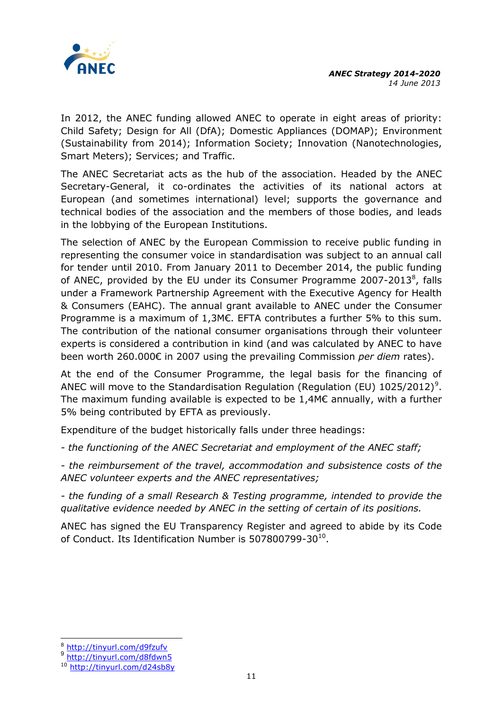

In 2012, the ANEC funding allowed ANEC to operate in eight areas of priority: Child Safety; Design for All (DfA); Domestic Appliances (DOMAP); Environment (Sustainability from 2014); Information Society; Innovation (Nanotechnologies, Smart Meters); Services; and Traffic.

The ANEC Secretariat acts as the hub of the association. Headed by the ANEC Secretary-General, it co-ordinates the activities of its national actors at European (and sometimes international) level; supports the governance and technical bodies of the association and the members of those bodies, and leads in the lobbying of the European Institutions.

The selection of ANEC by the European Commission to receive public funding in representing the consumer voice in standardisation was subject to an annual call for tender until 2010. From January 2011 to December 2014, the public funding of ANEC, provided by the EU under its Consumer Programme 2007-2013 $^8$ , falls under a Framework Partnership Agreement with the Executive Agency for Health & Consumers (EAHC). The annual grant available to ANEC under the Consumer Programme is a maximum of 1,3M€. EFTA contributes a further 5% to this sum. The contribution of the national consumer organisations through their volunteer experts is considered a contribution in kind (and was calculated by ANEC to have been worth 260.000€ in 2007 using the prevailing Commission *per diem* rates).

At the end of the Consumer Programme, the legal basis for the financing of ANEC will move to the Standardisation Regulation (Regulation (EU)  $1025/2012$ )<sup>9</sup>. The maximum funding available is expected to be 1,4M€ annually, with a further 5% being contributed by EFTA as previously.

Expenditure of the budget historically falls under three headings:

*- the functioning of the ANEC Secretariat and employment of the ANEC staff;*

*- the reimbursement of the travel, accommodation and subsistence costs of the ANEC volunteer experts and the ANEC representatives;*

*- the funding of a small Research & Testing programme, intended to provide the qualitative evidence needed by ANEC in the setting of certain of its positions.*

ANEC has signed the EU Transparency Register and agreed to abide by its Code of Conduct. Its Identification Number is 507800799-30<sup>10</sup>.

-

<sup>8</sup> <http://tinyurl.com/d9fzufv>

<sup>9</sup> <http://tinyurl.com/d8fdwn5>

<sup>10</sup> <http://tinyurl.com/d24sb8y>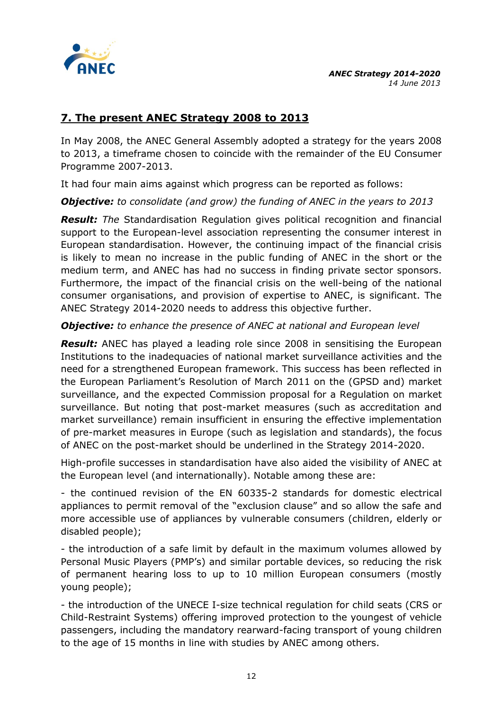

# **7. The present ANEC Strategy 2008 to 2013**

In May 2008, the ANEC General Assembly adopted a strategy for the years 2008 to 2013, a timeframe chosen to coincide with the remainder of the EU Consumer Programme 2007-2013.

It had four main aims against which progress can be reported as follows:

*Objective: to consolidate (and grow) the funding of ANEC in the years to 2013*

*Result: The* Standardisation Regulation gives political recognition and financial support to the European-level association representing the consumer interest in European standardisation. However, the continuing impact of the financial crisis is likely to mean no increase in the public funding of ANEC in the short or the medium term, and ANEC has had no success in finding private sector sponsors. Furthermore, the impact of the financial crisis on the well-being of the national consumer organisations, and provision of expertise to ANEC, is significant. The ANEC Strategy 2014-2020 needs to address this objective further.

#### *Objective: to enhance the presence of ANEC at national and European level*

**Result:** ANEC has played a leading role since 2008 in sensitising the European Institutions to the inadequacies of national market surveillance activities and the need for a strengthened European framework. This success has been reflected in the European Parliament's Resolution of March 2011 on the (GPSD and) market surveillance, and the expected Commission proposal for a Regulation on market surveillance. But noting that post-market measures (such as accreditation and market surveillance) remain insufficient in ensuring the effective implementation of pre-market measures in Europe (such as legislation and standards), the focus of ANEC on the post-market should be underlined in the Strategy 2014-2020.

High-profile successes in standardisation have also aided the visibility of ANEC at the European level (and internationally). Notable among these are:

- the continued revision of the EN 60335-2 standards for domestic electrical appliances to permit removal of the "exclusion clause" and so allow the safe and more accessible use of appliances by vulnerable consumers (children, elderly or disabled people);

- the introduction of a safe limit by default in the maximum volumes allowed by Personal Music Players (PMP's) and similar portable devices, so reducing the risk of permanent hearing loss to up to 10 million European consumers (mostly young people);

- the introduction of the UNECE I-size technical regulation for child seats (CRS or Child-Restraint Systems) offering improved protection to the youngest of vehicle passengers, including the mandatory rearward-facing transport of young children to the age of 15 months in line with studies by ANEC among others.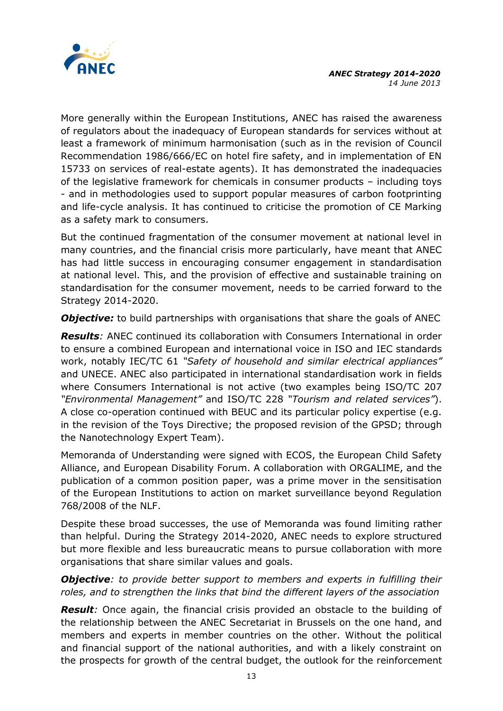

More generally within the European Institutions, ANEC has raised the awareness of regulators about the inadequacy of European standards for services without at least a framework of minimum harmonisation (such as in the revision of Council Recommendation 1986/666/EC on hotel fire safety, and in implementation of EN 15733 on services of real-estate agents). It has demonstrated the inadequacies of the legislative framework for chemicals in consumer products – including toys - and in methodologies used to support popular measures of carbon footprinting and life-cycle analysis. It has continued to criticise the promotion of CE Marking as a safety mark to consumers.

But the continued fragmentation of the consumer movement at national level in many countries, and the financial crisis more particularly, have meant that ANEC has had little success in encouraging consumer engagement in standardisation at national level. This, and the provision of effective and sustainable training on standardisation for the consumer movement, needs to be carried forward to the Strategy 2014-2020.

**Objective:** to build partnerships with organisations that share the goals of ANEC

*Results:* ANEC continued its collaboration with Consumers International in order to ensure a combined European and international voice in ISO and IEC standards work, notably IEC/TC 61 *"Safety of household and similar electrical appliances"* and UNECE. ANEC also participated in international standardisation work in fields where Consumers International is not active (two examples being ISO/TC 207 *"Environmental Management"* and ISO/TC 228 *"Tourism and related services"*). A close co-operation continued with BEUC and its particular policy expertise (e.g. in the revision of the Toys Directive; the proposed revision of the GPSD; through the Nanotechnology Expert Team).

Memoranda of Understanding were signed with ECOS, the European Child Safety Alliance, and European Disability Forum. A collaboration with ORGALIME, and the publication of a common position paper, was a prime mover in the sensitisation of the European Institutions to action on market surveillance beyond Regulation 768/2008 of the NLF.

Despite these broad successes, the use of Memoranda was found limiting rather than helpful. During the Strategy 2014-2020, ANEC needs to explore structured but more flexible and less bureaucratic means to pursue collaboration with more organisations that share similar values and goals.

#### *Objective: to provide better support to members and experts in fulfilling their roles, and to strengthen the links that bind the different layers of the association*

**Result**: Once again, the financial crisis provided an obstacle to the building of the relationship between the ANEC Secretariat in Brussels on the one hand, and members and experts in member countries on the other. Without the political and financial support of the national authorities, and with a likely constraint on the prospects for growth of the central budget, the outlook for the reinforcement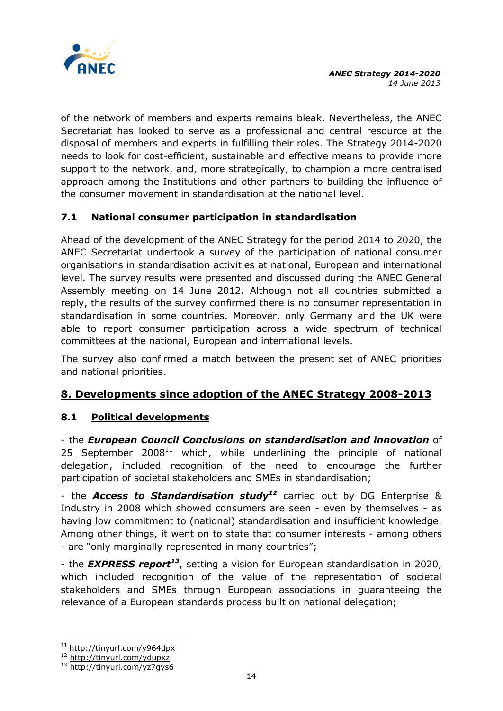

of the network of members and experts remains bleak. Nevertheless, the ANEC Secretariat has looked to serve as a professional and central resource at the disposal of members and experts in fulfilling their roles. The Strategy 2014-2020 needs to look for cost-efficient, sustainable and effective means to provide more support to the network, and, more strategically, to champion a more centralised approach among the Institutions and other partners to building the influence of the consumer movement in standardisation at the national level.

## **7.1 National consumer participation in standardisation**

Ahead of the development of the ANEC Strategy for the period 2014 to 2020, the ANEC Secretariat undertook a survey of the participation of national consumer organisations in standardisation activities at national, European and international level. The survey results were presented and discussed during the ANEC General Assembly meeting on 14 June 2012. Although not all countries submitted a reply, the results of the survey confirmed there is no consumer representation in standardisation in some countries. Moreover, only Germany and the UK were able to report consumer participation across a wide spectrum of technical committees at the national, European and international levels.

The survey also confirmed a match between the present set of ANEC priorities and national priorities.

# **8. Developments since adoption of the ANEC Strategy 2008-2013**

## **8.1 Political developments**

- the *European Council Conclusions on standardisation and innovation* of 25 September  $2008^{11}$  which, while underlining the principle of national delegation, included recognition of the need to encourage the further participation of societal stakeholders and SMEs in standardisation;

- the *Access to Standardisation study<sup>12</sup>* carried out by DG Enterprise & Industry in 2008 which showed consumers are seen - even by themselves - as having low commitment to (national) standardisation and insufficient knowledge. Among other things, it went on to state that consumer interests - among others - are "only marginally represented in many countries";

- the *EXPRESS report<sup>13</sup>*, setting a vision for European standardisation in 2020, which included recognition of the value of the representation of societal stakeholders and SMEs through European associations in guaranteeing the relevance of a European standards process built on national delegation;

 $\overline{a}$ 

<http://tinyurl.com/y964dpx>

<sup>12</sup> <http://tinyurl.com/ydupxz>

<sup>13</sup> <http://tinyurl.com/yz7gys6>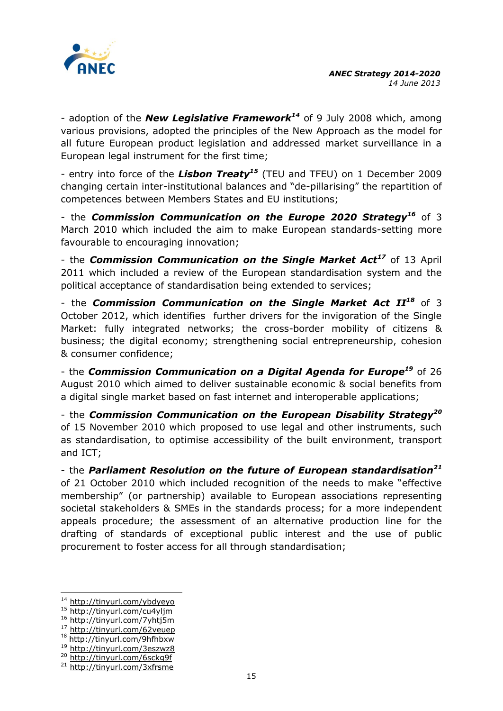

- adoption of the *New Legislative Framework<sup>14</sup>* of 9 July 2008 which, among various provisions, adopted the principles of the New Approach as the model for all future European product legislation and addressed market surveillance in a European legal instrument for the first time;

- entry into force of the *Lisbon Treaty<sup>15</sup>* (TEU and TFEU) on 1 December 2009 changing certain inter-institutional balances and "de-pillarising" the repartition of competences between Members States and EU institutions;

- the *Commission Communication on the Europe 2020 Strategy<sup>16</sup>* of 3 March 2010 which included the aim to make European standards-setting more favourable to encouraging innovation;

- the *Commission Communication on the Single Market Act<sup>17</sup>* of 13 April 2011 which included a review of the European standardisation system and the political acceptance of standardisation being extended to services;

- the *Commission Communication on the Single Market Act II<sup>18</sup>* of 3 October 2012, which identifies further drivers for the invigoration of the Single Market: fully integrated networks; the cross-border mobility of citizens & business; the digital economy; strengthening social entrepreneurship, cohesion & consumer confidence;

- the *Commission Communication on a Digital Agenda for Europe<sup>19</sup>* of 26 August 2010 which aimed to deliver sustainable economic & social benefits from a digital single market based on fast internet and interoperable applications;

- the *Commission Communication on the European Disability Strategy<sup>20</sup>* of 15 November 2010 which proposed to use legal and other instruments, such as standardisation, to optimise accessibility of the built environment, transport and ICT;

- the *Parliament Resolution on the future of European standardisation<sup>21</sup>* of 21 October 2010 which included recognition of the needs to make "effective membership" (or partnership) available to European associations representing societal stakeholders & SMEs in the standards process; for a more independent appeals procedure; the assessment of an alternative production line for the drafting of standards of exceptional public interest and the use of public procurement to foster access for all through standardisation;

-

<sup>&</sup>lt;sup>14</sup> <http://tinyurl.com/ybdyeyo>

<sup>15</sup> <http://tinyurl.com/cu4yljm>

<sup>16</sup> <http://tinyurl.com/7yhtj5m>

<sup>17</sup> <http://tinyurl.com/62veuep> 18 <http://tinyurl.com/9hfhbxw>

<sup>19</sup> <http://tinyurl.com/3eszwz8>

<sup>20</sup> <http://tinyurl.com/6sckg9f>

<sup>&</sup>lt;sup>21</sup> <http://tinyurl.com/3xfrsme>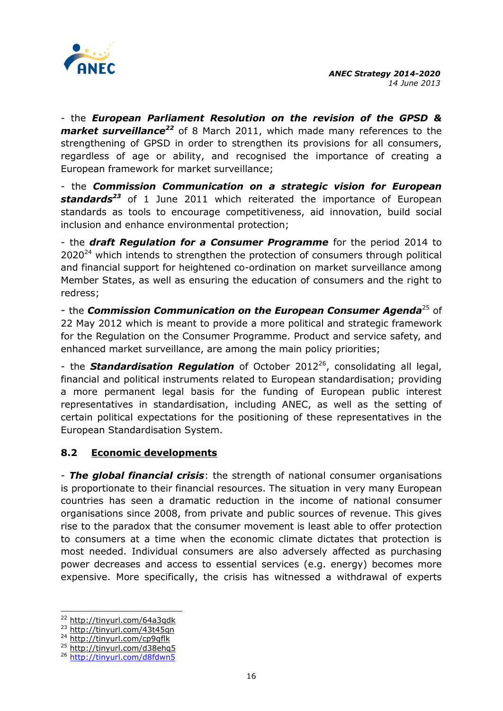

- the *European Parliament Resolution on the revision of the GPSD & market surveillance<sup>22</sup>* of 8 March 2011, which made many references to the strengthening of GPSD in order to strengthen its provisions for all consumers, regardless of age or ability, and recognised the importance of creating a European framework for market surveillance;

- the *Commission Communication on a strategic vision for European standards<sup>23</sup>* of 1 June 2011 which reiterated the importance of European standards as tools to encourage competitiveness, aid innovation, build social inclusion and enhance environmental protection;

- the *draft Regulation for a Consumer Programme* for the period 2014 to  $2020^{24}$  which intends to strengthen the protection of consumers through political and financial support for heightened co-ordination on market surveillance among Member States, as well as ensuring the education of consumers and the right to redress;

- the *Commission Communication on the European Consumer Agenda*<sup>25</sup> of 22 May 2012 which is meant to provide a more political and strategic framework for the Regulation on the Consumer Programme. Product and service safety, and enhanced market surveillance, are among the main policy priorities;

- the **Standardisation Regulation** of October 2012<sup>26</sup>, consolidating all legal, financial and political instruments related to European standardisation; providing a more permanent legal basis for the funding of European public interest representatives in standardisation, including ANEC, as well as the setting of certain political expectations for the positioning of these representatives in the European Standardisation System.

## **8.2 Economic developments**

- *The global financial crisis*: the strength of national consumer organisations is proportionate to their financial resources. The situation in very many European countries has seen a dramatic reduction in the income of national consumer organisations since 2008, from private and public sources of revenue. This gives rise to the paradox that the consumer movement is least able to offer protection to consumers at a time when the economic climate dictates that protection is most needed. Individual consumers are also adversely affected as purchasing power decreases and access to essential services (e.g. energy) becomes more expensive. More specifically, the crisis has witnessed a withdrawal of experts

-

<sup>22</sup> <http://tinyurl.com/64a3qdk>

<sup>&</sup>lt;sup>23</sup> <http://tinyurl.com/43t45qn>

<sup>24</sup> <http://tinyurl.com/cp9qflk>

<sup>25</sup> <http://tinyurl.com/d38ehq5>

<sup>&</sup>lt;sup>26</sup> <http://tinyurl.com/d8fdwn5>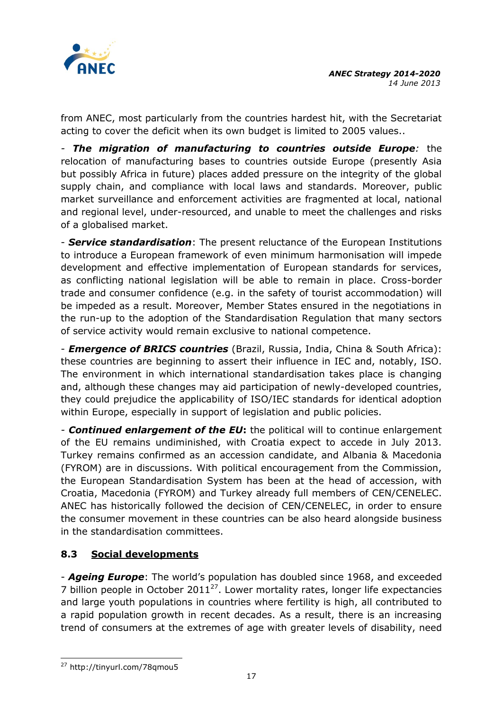

from ANEC, most particularly from the countries hardest hit, with the Secretariat acting to cover the deficit when its own budget is limited to 2005 values..

*- The migration of manufacturing to countries outside Europe:* the relocation of manufacturing bases to countries outside Europe (presently Asia but possibly Africa in future) places added pressure on the integrity of the global supply chain, and compliance with local laws and standards. Moreover, public market surveillance and enforcement activities are fragmented at local, national and regional level, under-resourced, and unable to meet the challenges and risks of a globalised market.

- *Service standardisation*: The present reluctance of the European Institutions to introduce a European framework of even minimum harmonisation will impede development and effective implementation of European standards for services, as conflicting national legislation will be able to remain in place. Cross-border trade and consumer confidence (e.g. in the safety of tourist accommodation) will be impeded as a result. Moreover, Member States ensured in the negotiations in the run-up to the adoption of the Standardisation Regulation that many sectors of service activity would remain exclusive to national competence.

- *Emergence of BRICS countries* (Brazil, Russia, India, China & South Africa): these countries are beginning to assert their influence in IEC and, notably, ISO. The environment in which international standardisation takes place is changing and, although these changes may aid participation of newly-developed countries, they could prejudice the applicability of ISO/IEC standards for identical adoption within Europe, especially in support of legislation and public policies.

*- Continued enlargement of the EU***:** the political will to continue enlargement of the EU remains undiminished, with Croatia expect to accede in July 2013. Turkey remains confirmed as an accession candidate, and Albania & Macedonia (FYROM) are in discussions. With political encouragement from the Commission, the European Standardisation System has been at the head of accession, with Croatia, Macedonia (FYROM) and Turkey already full members of CEN/CENELEC. ANEC has historically followed the decision of CEN/CENELEC, in order to ensure the consumer movement in these countries can be also heard alongside business in the standardisation committees.

## **8.3 Social developments**

- *Ageing Europe*: The world's population has doubled since 1968, and exceeded 7 billion people in October  $2011^{27}$ . Lower mortality rates, longer life expectancies and large youth populations in countries where fertility is high, all contributed to a rapid population growth in recent decades. As a result, there is an increasing trend of consumers at the extremes of age with greater levels of disability, need

<sup>-</sup><sup>27</sup> http://tinyurl.com/78qmou5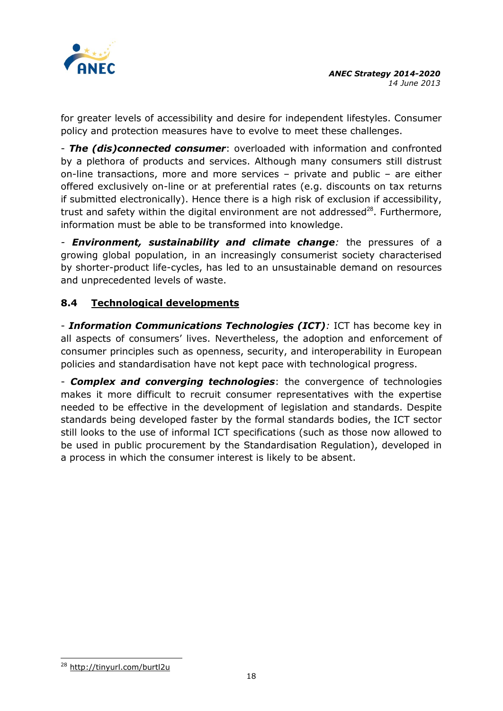

for greater levels of accessibility and desire for independent lifestyles. Consumer policy and protection measures have to evolve to meet these challenges.

- *The (dis)connected consumer*: overloaded with information and confronted by a plethora of products and services. Although many consumers still distrust on-line transactions, more and more services – private and public – are either offered exclusively on-line or at preferential rates (e.g. discounts on tax returns if submitted electronically). Hence there is a high risk of exclusion if accessibility, trust and safety within the digital environment are not addressed $^{28}$ . Furthermore, information must be able to be transformed into knowledge.

*- Environment, sustainability and climate change:* the pressures of a growing global population, in an increasingly consumerist society characterised by shorter-product life-cycles, has led to an unsustainable demand on resources and unprecedented levels of waste.

# **8.4 Technological developments**

- *Information Communications Technologies (ICT):* ICT has become key in all aspects of consumers' lives. Nevertheless, the adoption and enforcement of consumer principles such as openness, security, and interoperability in European policies and standardisation have not kept pace with technological progress.

- *Complex and converging technologies*: the convergence of technologies makes it more difficult to recruit consumer representatives with the expertise needed to be effective in the development of legislation and standards. Despite standards being developed faster by the formal standards bodies, the ICT sector still looks to the use of informal ICT specifications (such as those now allowed to be used in public procurement by the Standardisation Regulation), developed in a process in which the consumer interest is likely to be absent.

<sup>-</sup><sup>28</sup> <http://tinyurl.com/burtl2u>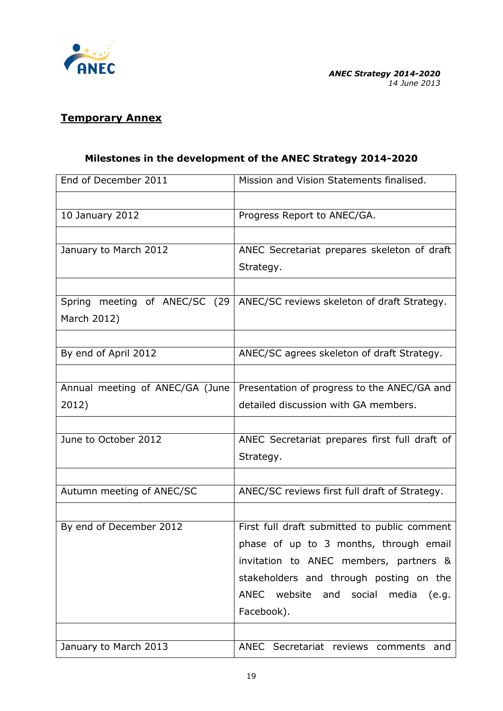

## **Temporary Annex**

# **Milestones in the development of the ANEC Strategy 2014-2020**

| End of December 2011            | Mission and Vision Statements finalised.      |
|---------------------------------|-----------------------------------------------|
|                                 |                                               |
| 10 January 2012                 | Progress Report to ANEC/GA.                   |
|                                 |                                               |
| January to March 2012           | ANEC Secretariat prepares skeleton of draft   |
|                                 | Strategy.                                     |
|                                 |                                               |
| Spring meeting of ANEC/SC (29   | ANEC/SC reviews skeleton of draft Strategy.   |
| March 2012)                     |                                               |
|                                 |                                               |
| By end of April 2012            | ANEC/SC agrees skeleton of draft Strategy.    |
|                                 |                                               |
| Annual meeting of ANEC/GA (June | Presentation of progress to the ANEC/GA and   |
| 2012)                           | detailed discussion with GA members.          |
|                                 |                                               |
| June to October 2012            | ANEC Secretariat prepares first full draft of |
|                                 | Strategy.                                     |
|                                 |                                               |
| Autumn meeting of ANEC/SC       | ANEC/SC reviews first full draft of Strategy. |
|                                 |                                               |
| By end of December 2012         | First full draft submitted to public comment  |
|                                 | phase of up to 3 months, through email        |
|                                 | invitation to ANEC members, partners &        |
|                                 | stakeholders and through posting on the       |
|                                 | ANEC website and social media<br>(e.g.        |
|                                 | Facebook).                                    |
|                                 |                                               |
| January to March 2013           | ANEC Secretariat reviews comments and         |